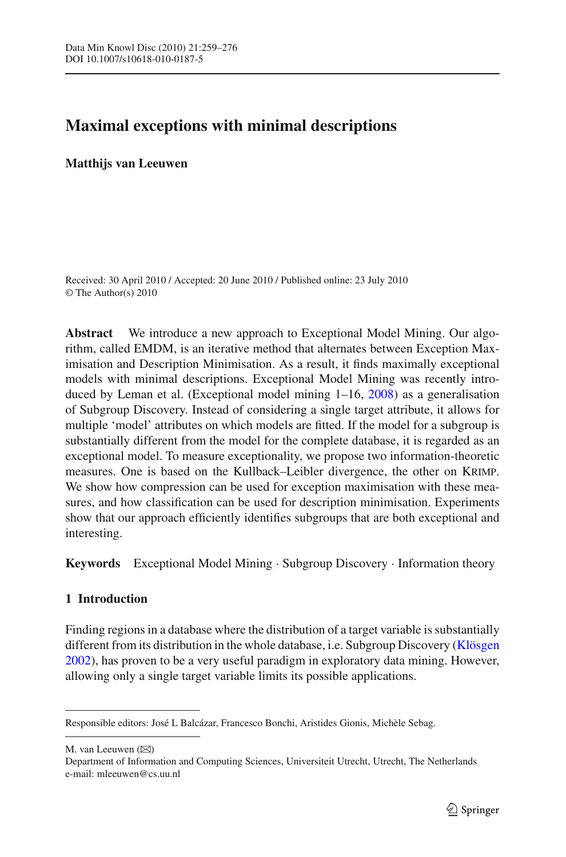# **Maximal exceptions with minimal descriptions**

## **Matthijs van Leeuwen**

Received: 30 April 2010 / Accepted: 20 June 2010 / Published online: 23 July 2010 © The Author(s) 2010

**Abstract** We introduce a new approach to Exceptional Model Mining. Our algorithm, called EMDM, is an iterative method that alternates between Exception Maximisation and Description Minimisation. As a result, it finds maximally exceptional models with minimal descriptions. Exceptional Model Mining was recently introduced by Leman et al. (Exceptional model mining 1–16, [2008\)](#page-17-0) as a generalisation of Subgroup Discovery. Instead of considering a single target attribute, it allows for multiple 'model' attributes on which models are fitted. If the model for a subgroup is substantially different from the model for the complete database, it is regarded as an exceptional model. To measure exceptionality, we propose two information-theoretic measures. One is based on the Kullback–Leibler divergence, the other on Krimp. We show how compression can be used for exception maximisation with these measures, and how classification can be used for description minimisation. Experiments show that our approach efficiently identifies subgroups that are both exceptional and interesting.

**Keywords** Exceptional Model Mining · Subgroup Discovery · Information theory

# **1 Introduction**

Finding regions in a database where the distribution of a target variable is substantially different from its distribution in the whole database, i.e. Subgroup Discovery [\(Klösgen](#page-16-0) [2002\)](#page-16-0), has proven to be a very useful paradigm in exploratory data mining. However, allowing only a single target variable limits its possible applications.

M. van Leeuwen  $(\boxtimes)$ 

Responsible editors: José L Balcázar, Francesco Bonchi, Aristides Gionis, Michèle Sebag.

Department of Information and Computing Sciences, Universiteit Utrecht, Utrecht, The Netherlands e-mail: mleeuwen@cs.uu.nl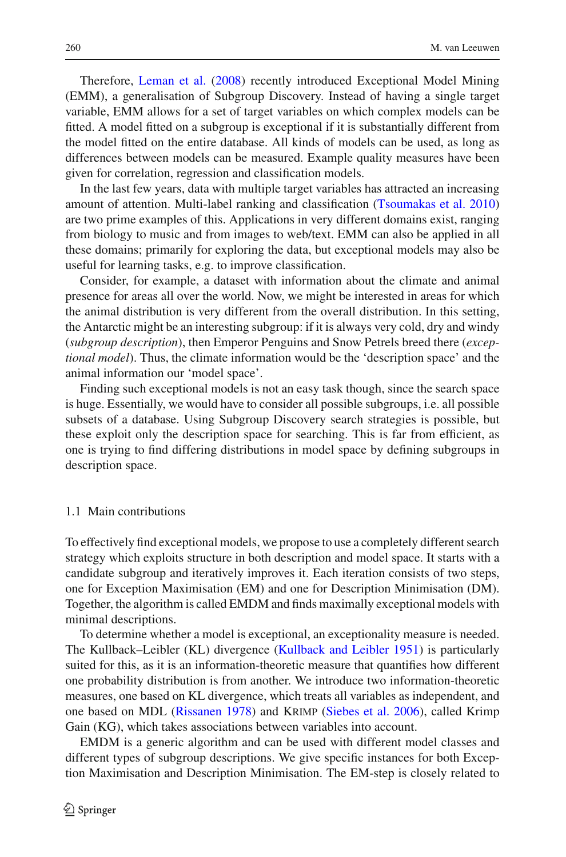Therefore, [Leman et al.](#page-17-0) [\(2008](#page-17-0)) recently introduced Exceptional Model Mining (EMM), a generalisation of Subgroup Discovery. Instead of having a single target variable, EMM allows for a set of target variables on which complex models can be fitted. A model fitted on a subgroup is exceptional if it is substantially different from the model fitted on the entire database. All kinds of models can be used, as long as differences between models can be measured. Example quality measures have been given for correlation, regression and classification models.

In the last few years, data with multiple target variables has attracted an increasing amount of attention. Multi-label ranking and classification [\(Tsoumakas et al. 2010\)](#page-17-1) are two prime examples of this. Applications in very different domains exist, ranging from biology to music and from images to web/text. EMM can also be applied in all these domains; primarily for exploring the data, but exceptional models may also be useful for learning tasks, e.g. to improve classification.

Consider, for example, a dataset with information about the climate and animal presence for areas all over the world. Now, we might be interested in areas for which the animal distribution is very different from the overall distribution. In this setting, the Antarctic might be an interesting subgroup: if it is always very cold, dry and windy (*subgroup description*), then Emperor Penguins and Snow Petrels breed there (*exceptional model*). Thus, the climate information would be the 'description space' and the animal information our 'model space'.

Finding such exceptional models is not an easy task though, since the search space is huge. Essentially, we would have to consider all possible subgroups, i.e. all possible subsets of a database. Using Subgroup Discovery search strategies is possible, but these exploit only the description space for searching. This is far from efficient, as one is trying to find differing distributions in model space by defining subgroups in description space.

## 1.1 Main contributions

To effectively find exceptional models, we propose to use a completely different search strategy which exploits structure in both description and model space. It starts with a candidate subgroup and iteratively improves it. Each iteration consists of two steps, one for Exception Maximisation (EM) and one for Description Minimisation (DM). Together, the algorithm is called EMDM and finds maximally exceptional models with minimal descriptions.

To determine whether a model is exceptional, an exceptionality measure is needed. The Kullback–Leibler (KL) divergence [\(Kullback and Leibler 1951\)](#page-16-1) is particularly suited for this, as it is an information-theoretic measure that quantifies how different one probability distribution is from another. We introduce two information-theoretic measures, one based on KL divergence, which treats all variables as independent, and one based on MDL [\(Rissanen 1978](#page-17-2)) and Krimp [\(Siebes et al. 2006\)](#page-17-3), called Krimp Gain (KG), which takes associations between variables into account.

EMDM is a generic algorithm and can be used with different model classes and different types of subgroup descriptions. We give specific instances for both Exception Maximisation and Description Minimisation. The EM-step is closely related to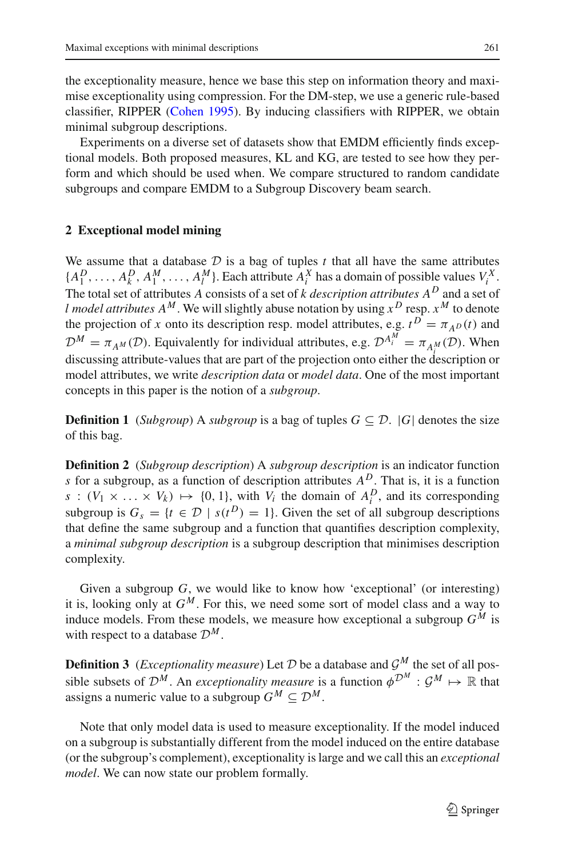the exceptionality measure, hence we base this step on information theory and maximise exceptionality using compression. For the DM-step, we use a generic rule-based classifier, RIPPER [\(Cohen 1995\)](#page-16-2). By inducing classifiers with RIPPER, we obtain minimal subgroup descriptions.

Experiments on a diverse set of datasets show that EMDM efficiently finds exceptional models. Both proposed measures, KL and KG, are tested to see how they perform and which should be used when. We compare structured to random candidate subgroups and compare EMDM to a Subgroup Discovery beam search.

## <span id="page-2-0"></span>**2 Exceptional model mining**

We assume that a database  $D$  is a bag of tuples  $t$  that all have the same attributes  $\{A_1^D, \ldots, A_k^D, A_1^M, \ldots, A_l^M\}$ . Each attribute  $A_i^X$  has a domain of possible values  $V_i^X$ . The total set of attributes *A* consists of a set of *k description attributes A<sup>D</sup>* and a set of *l* model attributes  $A^M$ . We will slightly abuse notation by using  $x^D$  resp.  $x^M$  to denote the projection of *x* onto its description resp. model attributes, e.g.  $t^D = \pi_{AD}(t)$  and  $\mathcal{D}^M = \pi_{A^M}(\mathcal{D})$ . Equivalently for individual attributes, e.g.  $\mathcal{D}^{A_i^M} = \pi_{A_i^M}(\mathcal{D})$ . When discussing attribute-values that are part of the projection onto either the description or model attributes, we write *description data* or *model data*. One of the most important concepts in this paper is the notion of a *subgroup*.

**Definition 1** (*Subgroup*) A *subgroup* is a bag of tuples  $G \subseteq \mathcal{D}$ . |*G*| denotes the size of this bag.

**Definition 2** (*Subgroup description*) A *subgroup description* is an indicator function *s* for a subgroup, as a function of description attributes  $A<sup>D</sup>$ . That is, it is a function  $s: (V_1 \times \ldots \times V_k) \mapsto \{0, 1\}$ , with  $V_i$  the domain of  $A_i^D$ , and its corresponding subgroup is  $G_s = \{t \in \mathcal{D} \mid s(t^D) = 1\}$ . Given the set of all subgroup descriptions that define the same subgroup and a function that quantifies description complexity, a *minimal subgroup description* is a subgroup description that minimises description complexity.

Given a subgroup *G*, we would like to know how 'exceptional' (or interesting) it is, looking only at  $G^M$ . For this, we need some sort of model class and a way to induce models. From these models, we measure how exceptional a subgroup  $G^M$  is with respect to a database  $\mathcal{D}^M$ .

**Definition 3** (*Exceptionality measure*) Let  $D$  be a database and  $\mathcal{G}^M$  the set of all possible subsets of  $\mathcal{D}^M$ . An *exceptionality measure* is a function  $\phi^{\mathcal{D}^M}: \mathcal{G}^M \mapsto \mathbb{R}$  that assigns a numeric value to a subgroup  $G^M \subseteq \mathcal{D}^M$ .

<span id="page-2-1"></span>Note that only model data is used to measure exceptionality. If the model induced on a subgroup is substantially different from the model induced on the entire database (or the subgroup's complement), exceptionality is large and we call this an *exceptional model*. We can now state our problem formally.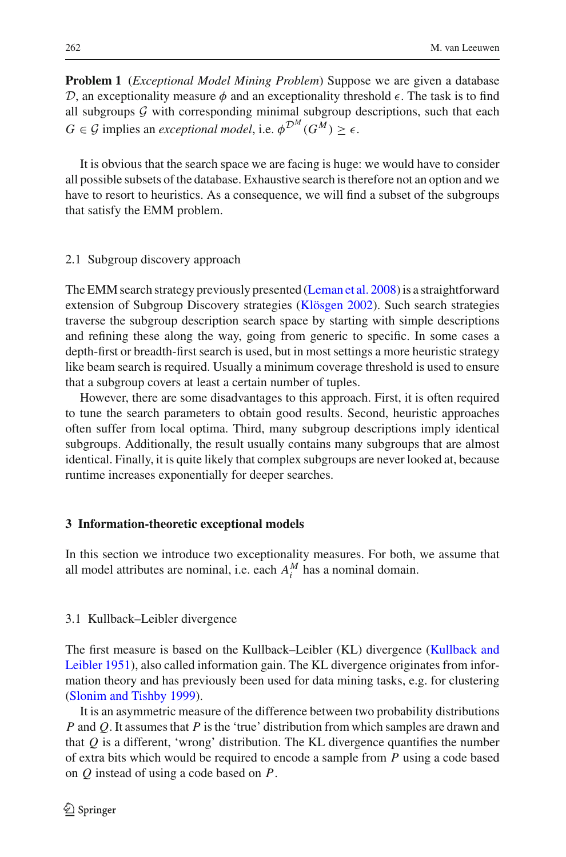**Problem 1** (*Exceptional Model Mining Problem*) Suppose we are given a database *D*, an exceptionality measure  $\phi$  and an exceptionality threshold  $\epsilon$ . The task is to find all subgroups  $G$  with corresponding minimal subgroup descriptions, such that each  $G \in \mathcal{G}$  implies an *exceptional model*, i.e.  $\phi^{\mathcal{D}^M}(G^M) \geq \epsilon$ .

It is obvious that the search space we are facing is huge: we would have to consider all possible subsets of the database. Exhaustive search is therefore not an option and we have to resort to heuristics. As a consequence, we will find a subset of the subgroups that satisfy the EMM problem.

## 2.1 Subgroup discovery approach

The EMM search strategy previously presented [\(Leman et al. 2008\)](#page-17-0) is a straightforward extension of Subgroup Discovery strategies [\(Klösgen 2002\)](#page-16-0). Such search strategies traverse the subgroup description search space by starting with simple descriptions and refining these along the way, going from generic to specific. In some cases a depth-first or breadth-first search is used, but in most settings a more heuristic strategy like beam search is required. Usually a minimum coverage threshold is used to ensure that a subgroup covers at least a certain number of tuples.

However, there are some disadvantages to this approach. First, it is often required to tune the search parameters to obtain good results. Second, heuristic approaches often suffer from local optima. Third, many subgroup descriptions imply identical subgroups. Additionally, the result usually contains many subgroups that are almost identical. Finally, it is quite likely that complex subgroups are never looked at, because runtime increases exponentially for deeper searches.

## <span id="page-3-0"></span>**3 Information-theoretic exceptional models**

In this section we introduce two exceptionality measures. For both, we assume that all model attributes are nominal, i.e. each  $A_i^M$  has a nominal domain.

## 3.1 Kullback–Leibler divergence

The fir[st](#page-16-1) [measure](#page-16-1) [is](#page-16-1) [based](#page-16-1) [on](#page-16-1) [the](#page-16-1) [Kullback–Leibler](#page-16-1) [\(KL\)](#page-16-1) [divergence](#page-16-1) [\(](#page-16-1)Kullback and Leibler [1951\)](#page-16-1), also called information gain. The KL divergence originates from information theory and has previously been used for data mining tasks, e.g. for clustering [\(Slonim and Tishby 1999\)](#page-17-4).

It is an asymmetric measure of the difference between two probability distributions *P* and *Q*. It assumes that *P* is the 'true' distribution from which samples are drawn and that *Q* is a different, 'wrong' distribution. The KL divergence quantifies the number of extra bits which would be required to encode a sample from *P* using a code based on *Q* instead of using a code based on *P*.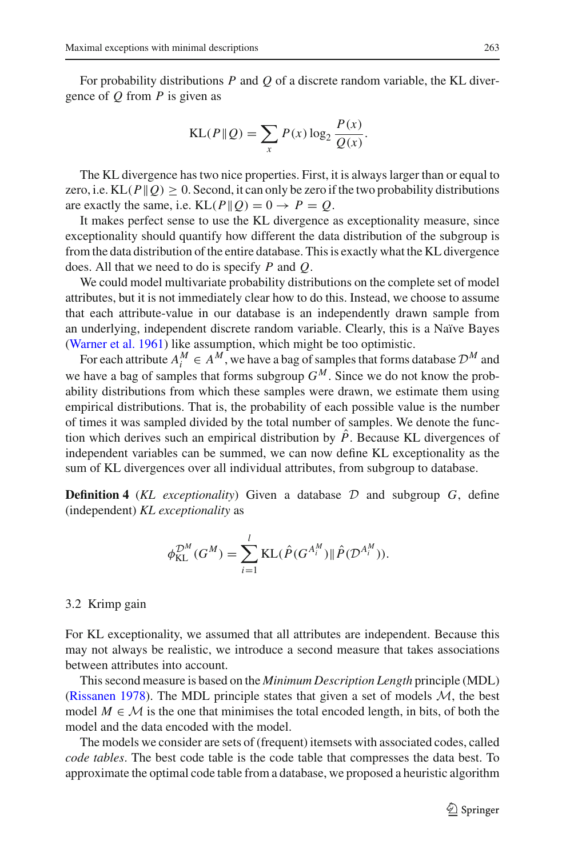For probability distributions *P* and *Q* of a discrete random variable, the KL divergence of *Q* from *P* is given as

$$
KL(P||Q) = \sum_{x} P(x) \log_2 \frac{P(x)}{Q(x)}.
$$

The KL divergence has two nice properties. First, it is always larger than or equal to zero, i.e.  $KL(P||Q) > 0$ . Second, it can only be zero if the two probability distributions are exactly the same, i.e.  $KL(P||Q) = 0 \rightarrow P = Q$ .

It makes perfect sense to use the KL divergence as exceptionality measure, since exceptionality should quantify how different the data distribution of the subgroup is from the data distribution of the entire database. This is exactly what the KL divergence does. All that we need to do is specify *P* and *Q*.

We could model multivariate probability distributions on the complete set of model attributes, but it is not immediately clear how to do this. Instead, we choose to assume that each attribute-value in our database is an independently drawn sample from an underlying, independent discrete random variable. Clearly, this is a Naïve Bayes [\(Warner et al. 1961](#page-17-5)) like assumption, which might be too optimistic.

For each attribute  $A_i^M \in A^M$ , we have a bag of samples that forms database  $\mathcal{D}^M$  and we have a bag of samples that forms subgroup  $G^M$ . Since we do not know the probability distributions from which these samples were drawn, we estimate them using empirical distributions. That is, the probability of each possible value is the number of times it was sampled divided by the total number of samples. We denote the function which derives such an empirical distribution by  $\hat{P}$ . Because KL divergences of independent variables can be summed, we can now define KL exceptionality as the sum of KL divergences over all individual attributes, from subgroup to database.

**Definition 4** (*KL exceptionality*) Given a database *D* and subgroup *G*, define (independent) *KL exceptionality* as

$$
\phi_{\text{KL}}^{\mathcal{D}^M}(G^M) = \sum_{i=1}^l \text{KL}(\hat{P}(G^{A_i^M}) \| \hat{P}(\mathcal{D}^{A_i^M})).
$$

3.2 Krimp gain

For KL exceptionality, we assumed that all attributes are independent. Because this may not always be realistic, we introduce a second measure that takes associations between attributes into account.

This second measure is based on the *Minimum Description Length* principle (MDL) [\(Rissanen 1978](#page-17-2)). The MDL principle states that given a set of models *M*, the best model  $M \in \mathcal{M}$  is the one that minimises the total encoded length, in bits, of both the model and the data encoded with the model.

The models we consider are sets of (frequent) itemsets with associated codes, called *code tables*. The best code table is the code table that compresses the data best. To approximate the optimal code table from a database, we proposed a heuristic algorithm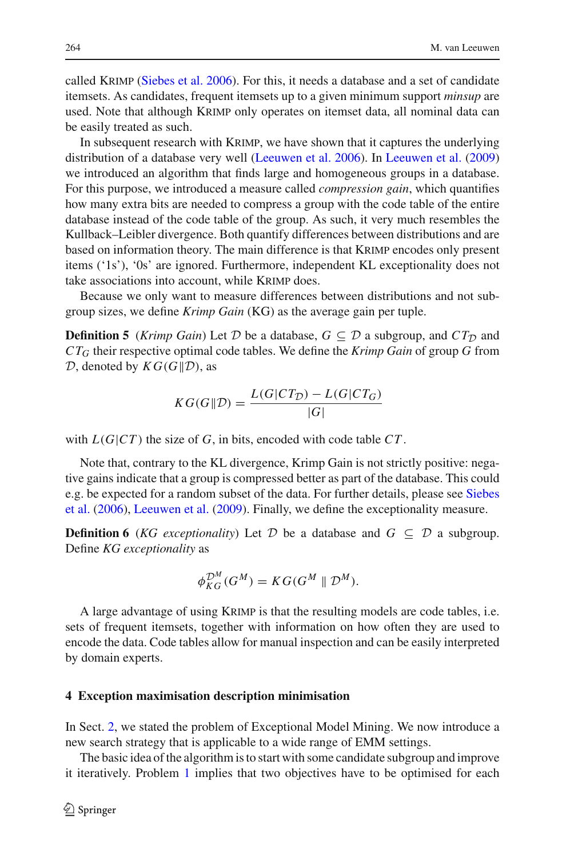called Krimp [\(Siebes et al. 2006](#page-17-3)). For this, it needs a database and a set of candidate itemsets. As candidates, frequent itemsets up to a given minimum support *minsup* are used. Note that although Krimp only operates on itemset data, all nominal data can be easily treated as such.

In subsequent research with Krimp, we have shown that it captures the underlying distribution of a database very well [\(Leeuwen et al. 2006](#page-16-3)). In [Leeuwen et al.](#page-17-6) [\(2009\)](#page-17-6) we introduced an algorithm that finds large and homogeneous groups in a database. For this purpose, we introduced a measure called *compression gain*, which quantifies how many extra bits are needed to compress a group with the code table of the entire database instead of the code table of the group. As such, it very much resembles the Kullback–Leibler divergence. Both quantify differences between distributions and are based on information theory. The main difference is that Krimp encodes only present items ('1s'), '0s' are ignored. Furthermore, independent KL exceptionality does not take associations into account, while Krimp does.

Because we only want to measure differences between distributions and not subgroup sizes, we define *Krimp Gain* (KG) as the average gain per tuple.

**Definition 5** (*Krimp Gain*) Let *D* be a database,  $G \subseteq D$  a subgroup, and  $CT_D$  and *CTG* their respective optimal code tables. We define the *Krimp Gain* of group *G* from  $D$ , denoted by  $KG(G||D)$ , as

$$
KG(G||\mathcal{D}) = \frac{L(G|CT_{\mathcal{D}}) - L(G|CT_G)}{|G|}
$$

with  $L(G|CT)$  the size of *G*, in bits, encoded with code table  $CT$ .

Note that, contrary to the KL divergence, Krimp Gain is not strictly positive: negative gains indicate that a group is compressed better as part of the database. This could e.g. [be](#page-17-3) [expected](#page-17-3) [for](#page-17-3) [a](#page-17-3) [random](#page-17-3) [subset](#page-17-3) [of](#page-17-3) [the](#page-17-3) [data.](#page-17-3) [For](#page-17-3) [further](#page-17-3) [details,](#page-17-3) [please](#page-17-3) [see](#page-17-3) Siebes et al. [\(2006\)](#page-17-3), [Leeuwen et al.](#page-17-6) [\(2009](#page-17-6)). Finally, we define the exceptionality measure.

**Definition 6** (*KG exceptionality*) Let *D* be a database and  $G \subseteq D$  a subgroup. Define *KG exceptionality* as

$$
\phi_{KG}^{\mathcal{D}^M}(G^M) = KG(G^M \parallel \mathcal{D}^M).
$$

A large advantage of using Krimp is that the resulting models are code tables, i.e. sets of frequent itemsets, together with information on how often they are used to encode the data. Code tables allow for manual inspection and can be easily interpreted by domain experts.

#### <span id="page-5-0"></span>**4 Exception maximisation description minimisation**

In Sect. [2,](#page-2-0) we stated the problem of Exceptional Model Mining. We now introduce a new search strategy that is applicable to a wide range of EMM settings.

The basic idea of the algorithm is to start with some candidate subgroup and improve it iteratively. Problem [1](#page-2-1) implies that two objectives have to be optimised for each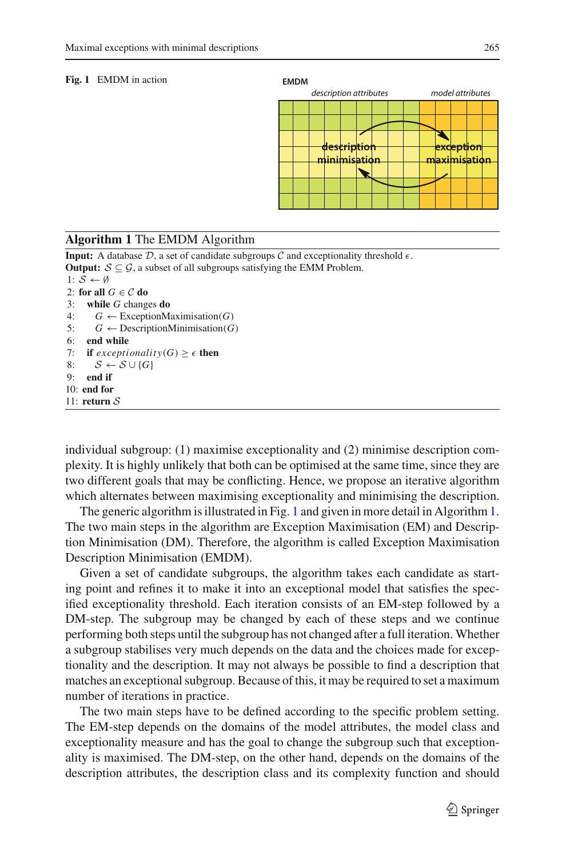#### <span id="page-6-0"></span>**Fig. 1** EMDM in action



## **Algorithm 1** The EMDM Algorithm

**Input:** A database  $D$ , a set of candidate subgroups  $C$  and exceptionality threshold  $\epsilon$ . **Output:**  $S \subseteq G$ , a subset of all subgroups satisfying the EMM Problem. 1:  $S \leftarrow \emptyset$ 2: **for all** *G* ∈ *C* **do** 3: **while** *G* changes **do** 4:  $G \leftarrow \text{ExceptionMaximisation}(G)$ 5:  $G \leftarrow$  DescriptionMinimisation(*G*) 6: **end while** 7: **if** *exceptionality*( $G$ )  $\geq \epsilon$  **then** 8:  $S \leftarrow S \cup \{G\}$ <br>9: end if 9: **end if** 10: **end for** 11: **return** *S*

<span id="page-6-1"></span>individual subgroup: (1) maximise exceptionality and (2) minimise description complexity. It is highly unlikely that both can be optimised at the same time, since they are two different goals that may be conflicting. Hence, we propose an iterative algorithm which alternates between maximising exceptionality and minimising the description.

The generic algorithm is illustrated in Fig. [1](#page-6-0) and given in more detail in Algorithm [1.](#page-6-1) The two main steps in the algorithm are Exception Maximisation (EM) and Description Minimisation (DM). Therefore, the algorithm is called Exception Maximisation Description Minimisation (EMDM).

Given a set of candidate subgroups, the algorithm takes each candidate as starting point and refines it to make it into an exceptional model that satisfies the specified exceptionality threshold. Each iteration consists of an EM-step followed by a DM-step. The subgroup may be changed by each of these steps and we continue performing both steps until the subgroup has not changed after a full iteration. Whether a subgroup stabilises very much depends on the data and the choices made for exceptionality and the description. It may not always be possible to find a description that matches an exceptional subgroup. Because of this, it may be required to set a maximum number of iterations in practice.

The two main steps have to be defined according to the specific problem setting. The EM-step depends on the domains of the model attributes, the model class and exceptionality measure and has the goal to change the subgroup such that exceptionality is maximised. The DM-step, on the other hand, depends on the domains of the description attributes, the description class and its complexity function and should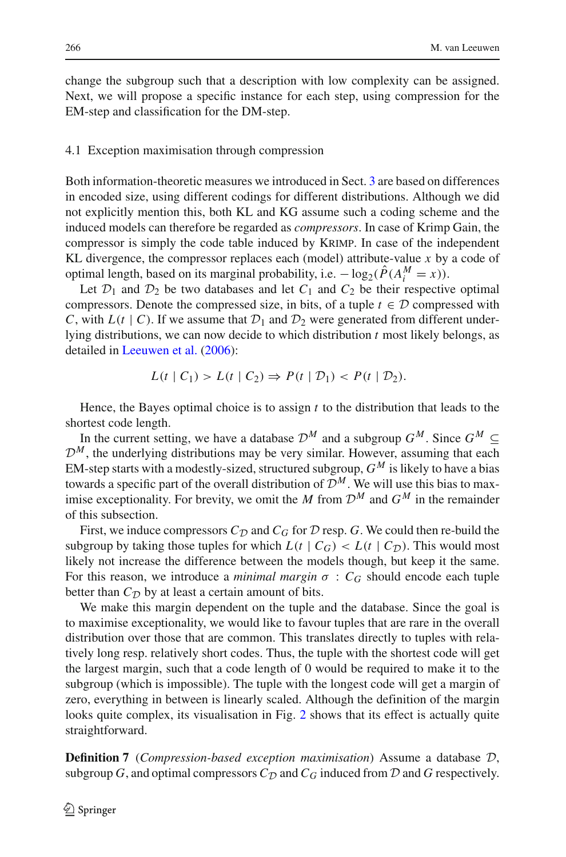change the subgroup such that a description with low complexity can be assigned. Next, we will propose a specific instance for each step, using compression for the EM-step and classification for the DM-step.

#### 4.1 Exception maximisation through compression

Both information-theoretic measures we introduced in Sect. [3](#page-3-0) are based on differences in encoded size, using different codings for different distributions. Although we did not explicitly mention this, both KL and KG assume such a coding scheme and the induced models can therefore be regarded as *compressors*. In case of Krimp Gain, the compressor is simply the code table induced by Krimp. In case of the independent KL divergence, the compressor replaces each (model) attribute-value *x* by a code of optimal length, based on its marginal probability, i.e.  $-\log_2(\hat{P}(A_i^M = x)).$ 

Let  $\mathcal{D}_1$  and  $\mathcal{D}_2$  be two databases and let  $C_1$  and  $C_2$  be their respective optimal compressors. Denote the compressed size, in bits, of a tuple  $t \in \mathcal{D}$  compressed with *C*, with  $L(t \mid C)$ . If we assume that  $\mathcal{D}_1$  and  $\mathcal{D}_2$  were generated from different underlying distributions, we can now decide to which distribution *t* most likely belongs, as detailed in [Leeuwen et al.](#page-16-3) [\(2006](#page-16-3)):

$$
L(t \mid C_1) > L(t \mid C_2) \Rightarrow P(t \mid \mathcal{D}_1) < P(t \mid \mathcal{D}_2).
$$

Hence, the Bayes optimal choice is to assign *t* to the distribution that leads to the shortest code length.

In the current setting, we have a database  $\mathcal{D}^M$  and a subgroup  $G^M$ . Since  $G^M$   $\subset$  $\mathcal{D}^M$ , the underlying distributions may be very similar. However, assuming that each EM-step starts with a modestly-sized, structured subgroup, *G <sup>M</sup>* is likely to have a bias towards a specific part of the overall distribution of  $\mathcal{D}^M$ . We will use this bias to maximise exceptionality. For brevity, we omit the *M* from  $\mathcal{D}^M$  and  $G^M$  in the remainder of this subsection.

First, we induce compressors  $C_{\mathcal{D}}$  and  $C_G$  for  $\mathcal D$  resp.  $G$ . We could then re-build the subgroup by taking those tuples for which  $L(t | C_G) < L(t | C_D)$ . This would most likely not increase the difference between the models though, but keep it the same. For this reason, we introduce a *minimal margin*  $\sigma : C_G$  should encode each tuple better than  $C_{\mathcal{D}}$  by at least a certain amount of bits.

We make this margin dependent on the tuple and the database. Since the goal is to maximise exceptionality, we would like to favour tuples that are rare in the overall distribution over those that are common. This translates directly to tuples with relatively long resp. relatively short codes. Thus, the tuple with the shortest code will get the largest margin, such that a code length of 0 would be required to make it to the subgroup (which is impossible). The tuple with the longest code will get a margin of zero, everything in between is linearly scaled. Although the definition of the margin looks quite complex, its visualisation in Fig. [2](#page-8-0) shows that its effect is actually quite straightforward.

<span id="page-7-0"></span>**Definition 7** (*Compression-based exception maximisation*) Assume a database *D*, subgroup *G*, and optimal compressors  $C_{\mathcal{D}}$  and  $C_G$  induced from  $\mathcal D$  and  $G$  respectively.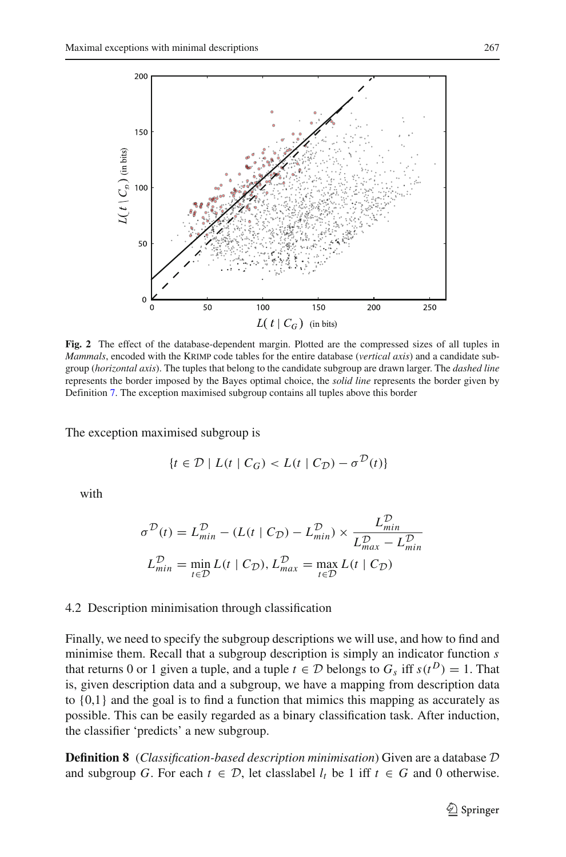

<span id="page-8-0"></span>**Fig. 2** The effect of the database-dependent margin. Plotted are the compressed sizes of all tuples in *Mammals*, encoded with the Krimp code tables for the entire database (*vertical axis*) and a candidate subgroup (*horizontal axis*). The tuples that belong to the candidate subgroup are drawn larger. The *dashed line* represents the border imposed by the Bayes optimal choice, the *solid line* represents the border given by Definition [7.](#page-7-0) The exception maximised subgroup contains all tuples above this border

The exception maximised subgroup is

$$
\{t \in \mathcal{D} \mid L(t \mid C_G) < L(t \mid C_{\mathcal{D}}) - \sigma^{\mathcal{D}}(t)\}
$$

with

$$
\sigma^{\mathcal{D}}(t) = L_{min}^{\mathcal{D}} - (L(t \mid C_{\mathcal{D}}) - L_{min}^{\mathcal{D}}) \times \frac{L_{min}^{\mathcal{D}}}{L_{max}^{\mathcal{D}} - L_{min}^{\mathcal{D}}}
$$

$$
L_{min}^{\mathcal{D}} = \min_{t \in \mathcal{D}} L(t \mid C_{\mathcal{D}}), L_{max}^{\mathcal{D}} = \max_{t \in \mathcal{D}} L(t \mid C_{\mathcal{D}})
$$

#### 4.2 Description minimisation through classification

Finally, we need to specify the subgroup descriptions we will use, and how to find and minimise them. Recall that a subgroup description is simply an indicator function *s* that returns 0 or 1 given a tuple, and a tuple  $t \in \mathcal{D}$  belongs to  $G_s$  iff  $s(t^D) = 1$ . That is, given description data and a subgroup, we have a mapping from description data to  $\{0,1\}$  and the goal is to find a function that mimics this mapping as accurately as possible. This can be easily regarded as a binary classification task. After induction, the classifier 'predicts' a new subgroup.

**Definition 8** (*Classification-based description minimisation*) Given are a database *D* and subgroup *G*. For each  $t \in \mathcal{D}$ , let classlabel  $l_t$  be 1 iff  $t \in G$  and 0 otherwise.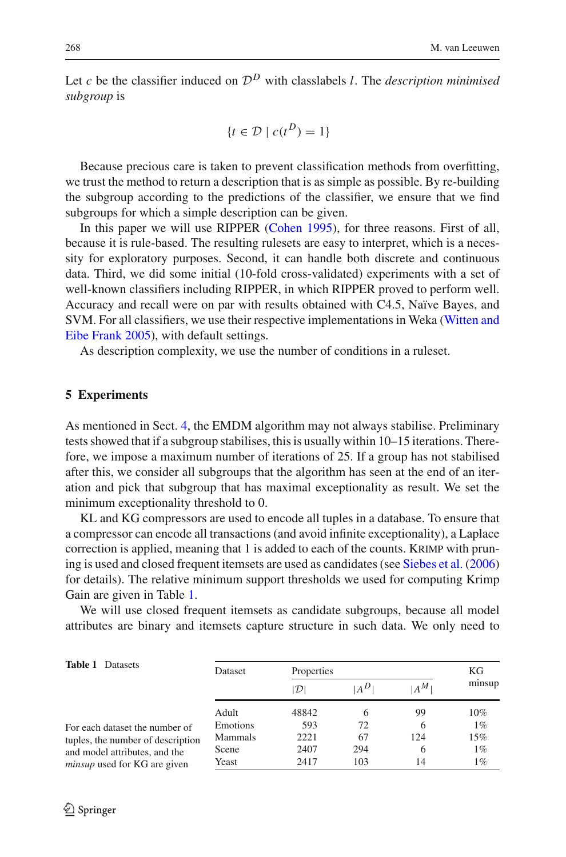Let *c* be the classifier induced on  $D^D$  with classlabels *l*. The *description minimised subgroup* is

$$
\{t \in \mathcal{D} \mid c(t^D) = 1\}
$$

Because precious care is taken to prevent classification methods from overfitting, we trust the method to return a description that is as simple as possible. By re-building the subgroup according to the predictions of the classifier, we ensure that we find subgroups for which a simple description can be given.

In this paper we will use RIPPER [\(Cohen 1995](#page-16-2)), for three reasons. First of all, because it is rule-based. The resulting rulesets are easy to interpret, which is a necessity for exploratory purposes. Second, it can handle both discrete and continuous data. Third, we did some initial (10-fold cross-validated) experiments with a set of well-known classifiers including RIPPER, in which RIPPER proved to perform well. Accuracy and recall were on par with results obtained with C4.5, Naïve Bayes, and SVM. For [all](#page-17-7) [classifiers,](#page-17-7) [we](#page-17-7) [use](#page-17-7) [their](#page-17-7) [respective](#page-17-7) [implementations](#page-17-7) [in](#page-17-7) [Weka](#page-17-7) [\(](#page-17-7)Witten and Eibe Frank [2005](#page-17-7)), with default settings.

As description complexity, we use the number of conditions in a ruleset.

## **5 Experiments**

As mentioned in Sect. [4,](#page-5-0) the EMDM algorithm may not always stabilise. Preliminary tests showed that if a subgroup stabilises, this is usually within 10–15 iterations. Therefore, we impose a maximum number of iterations of 25. If a group has not stabilised after this, we consider all subgroups that the algorithm has seen at the end of an iteration and pick that subgroup that has maximal exceptionality as result. We set the minimum exceptionality threshold to 0.

KL and KG compressors are used to encode all tuples in a database. To ensure that a compressor can encode all transactions (and avoid infinite exceptionality), a Laplace correction is applied, meaning that 1 is added to each of the counts. Krimp with pruning is used and closed frequent itemsets are used as candidates (see [Siebes et al.](#page-17-3) [\(2006\)](#page-17-3) for details). The relative minimum support thresholds we used for computing Krimp Gain are given in Table [1.](#page-9-0)

We will use closed frequent itemsets as candidate subgroups, because all model attributes are binary and itemsets capture structure in such data. We only need to

<span id="page-9-0"></span>

| <b>Table 1</b> Datasets                                                                              | Dataset  | Properties      | KG    |       |        |
|------------------------------------------------------------------------------------------------------|----------|-----------------|-------|-------|--------|
|                                                                                                      |          | $ \mathcal{D} $ | $A^D$ | $A^M$ | minsup |
|                                                                                                      | Adult    | 48842           | 6     | 99    | $10\%$ |
| For each dataset the number of<br>tuples, the number of description<br>and model attributes, and the | Emotions | 593             | 72    | 6     | $1\%$  |
|                                                                                                      | Mammals  | 2221            | 67    | 124   | 15%    |
|                                                                                                      | Scene    | 2407            | 294   | 6     | $1\%$  |
| <i>minsup</i> used for KG are given                                                                  | Yeast    | 2417            | 103   | 14    | $1\%$  |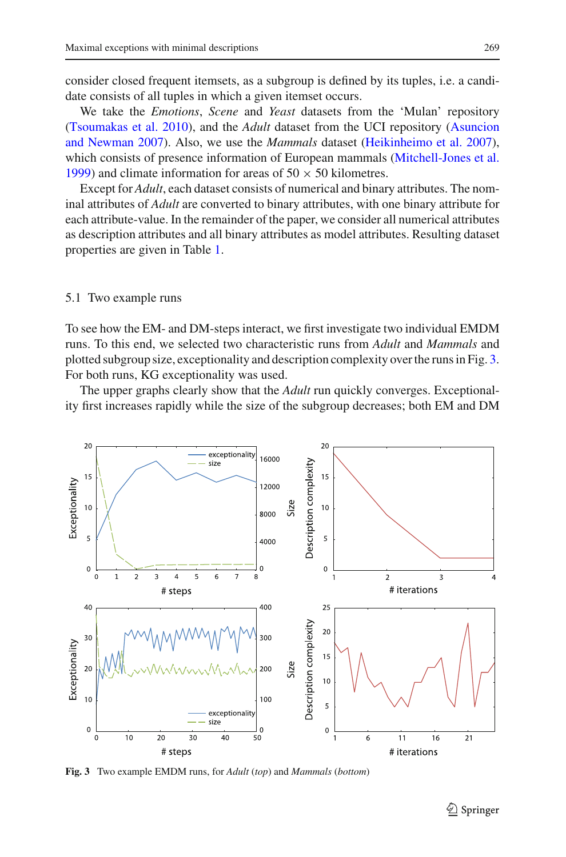consider closed frequent itemsets, as a subgroup is defined by its tuples, i.e. a candidate consists of all tuples in which a given itemset occurs.

We take the *Emotions*, *Scene* and *Yeast* datasets from the 'Mulan' repository [\(Tsoumakas et al. 2010](#page-17-1)), and the *Adult* [dataset](#page-16-4) [from](#page-16-4) [the](#page-16-4) [UCI](#page-16-4) [repository](#page-16-4) [\(](#page-16-4)Asuncion and Newman [2007](#page-16-4)). Also, we use the *Mammals* dataset [\(Heikinheimo et al. 2007](#page-16-5)), which consists of presence information of European mammals [\(Mitchell-Jones et al.](#page-17-8) [1999\)](#page-17-8) and climate information for areas of  $50 \times 50$  kilometres.

Except for *Adult*, each dataset consists of numerical and binary attributes. The nominal attributes of *Adult* are converted to binary attributes, with one binary attribute for each attribute-value. In the remainder of the paper, we consider all numerical attributes as description attributes and all binary attributes as model attributes. Resulting dataset properties are given in Table [1.](#page-9-0)

#### 5.1 Two example runs

To see how the EM- and DM-steps interact, we first investigate two individual EMDM runs. To this end, we selected two characteristic runs from *Adult* and *Mammals* and plotted subgroup size, exceptionality and description complexity over the runs in Fig. [3.](#page-10-0) For both runs, KG exceptionality was used.

The upper graphs clearly show that the *Adult* run quickly converges. Exceptionality first increases rapidly while the size of the subgroup decreases; both EM and DM



<span id="page-10-0"></span>**Fig. 3** Two example EMDM runs, for *Adult* (*top*) and *Mammals* (*bottom*)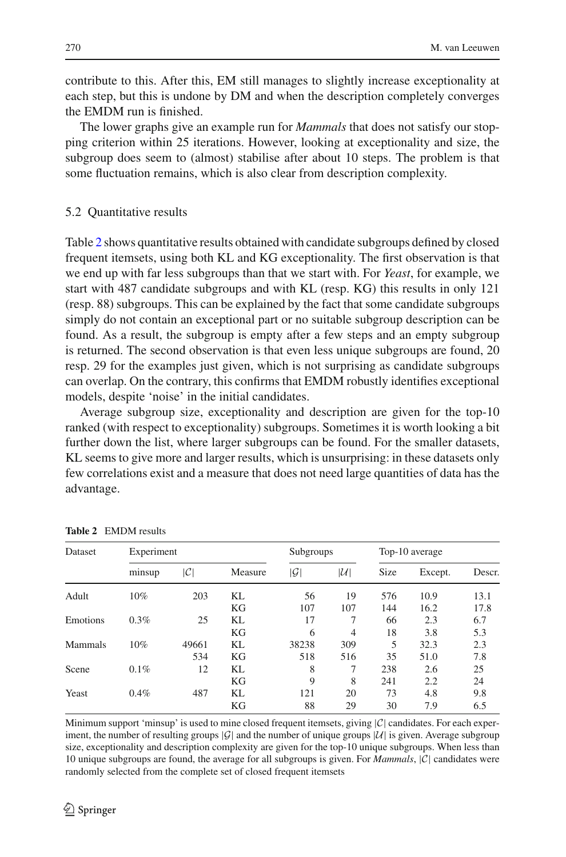contribute to this. After this, EM still manages to slightly increase exceptionality at each step, but this is undone by DM and when the description completely converges the EMDM run is finished.

The lower graphs give an example run for *Mammals* that does not satisfy our stopping criterion within 25 iterations. However, looking at exceptionality and size, the subgroup does seem to (almost) stabilise after about 10 steps. The problem is that some fluctuation remains, which is also clear from description complexity.

## 5.2 Quantitative results

Table [2](#page-11-0) shows quantitative results obtained with candidate subgroups defined by closed frequent itemsets, using both KL and KG exceptionality. The first observation is that we end up with far less subgroups than that we start with. For *Yeast*, for example, we start with 487 candidate subgroups and with KL (resp. KG) this results in only 121 (resp. 88) subgroups. This can be explained by the fact that some candidate subgroups simply do not contain an exceptional part or no suitable subgroup description can be found. As a result, the subgroup is empty after a few steps and an empty subgroup is returned. The second observation is that even less unique subgroups are found, 20 resp. 29 for the examples just given, which is not surprising as candidate subgroups can overlap. On the contrary, this confirms that EMDM robustly identifies exceptional models, despite 'noise' in the initial candidates.

Average subgroup size, exceptionality and description are given for the top-10 ranked (with respect to exceptionality) subgroups. Sometimes it is worth looking a bit further down the list, where larger subgroups can be found. For the smaller datasets, KL seems to give more and larger results, which is unsurprising: in these datasets only few correlations exist and a measure that does not need large quantities of data has the advantage.

| Dataset  | Experiment |       |         | Subgroups       |                | Top-10 average |         |        |
|----------|------------|-------|---------|-----------------|----------------|----------------|---------|--------|
|          | minsup     | C     | Measure | $ \mathcal{G} $ | U              | Size           | Except. | Descr. |
| Adult    | 10%        | 203   | KL      | 56              | 19             | 576            | 10.9    | 13.1   |
|          |            |       | KG      | 107             | 107            | 144            | 16.2    | 17.8   |
| Emotions | 0.3%       | 25    | KL      | 17              | 7              | 66             | 2.3     | 6.7    |
|          |            |       | KG      | 6               | $\overline{4}$ | 18             | 3.8     | 5.3    |
| Mammals  | 10%        | 49661 | KL      | 38238           | 309            | 5              | 32.3    | 2.3    |
|          |            | 534   | KG      | 518             | 516            | 35             | 51.0    | 7.8    |
| Scene    | 0.1%       | 12    | KL      | 8               | 7              | 238            | 2.6     | 25     |
|          |            |       | KG      | 9               | 8              | 241            | 2.2     | 24     |
| Yeast    | 0.4%       | 487   | KL      | 121             | 20             | 73             | 4.8     | 9.8    |
|          |            |       | KG      | 88              | 29             | 30             | 7.9     | 6.5    |

<span id="page-11-0"></span>**Table 2** EMDM results

Minimum support 'minsup' is used to mine closed frequent itemsets, giving |C| candidates. For each experiment, the number of resulting groups  $|\mathcal{G}|$  and the number of unique groups  $|\mathcal{U}|$  is given. Average subgroup size, exceptionality and description complexity are given for the top-10 unique subgroups. When less than 10 unique subgroups are found, the average for all subgroups is given. For *Mammals*, |*C*| candidates were randomly selected from the complete set of closed frequent itemsets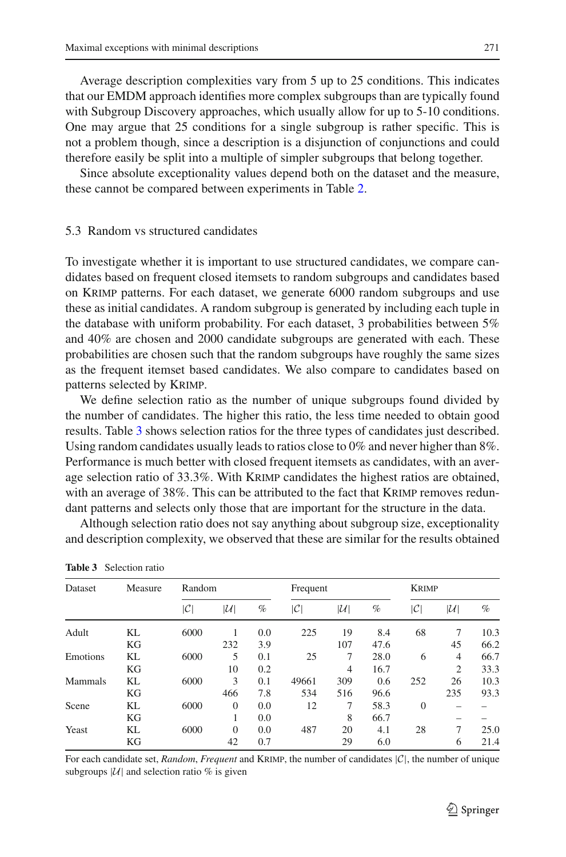Average description complexities vary from 5 up to 25 conditions. This indicates that our EMDM approach identifies more complex subgroups than are typically found with Subgroup Discovery approaches, which usually allow for up to 5-10 conditions. One may argue that 25 conditions for a single subgroup is rather specific. This is not a problem though, since a description is a disjunction of conjunctions and could therefore easily be split into a multiple of simpler subgroups that belong together.

Since absolute exceptionality values depend both on the dataset and the measure, these cannot be compared between experiments in Table [2.](#page-11-0)

#### 5.3 Random vs structured candidates

To investigate whether it is important to use structured candidates, we compare candidates based on frequent closed itemsets to random subgroups and candidates based on Krimp patterns. For each dataset, we generate 6000 random subgroups and use these as initial candidates. A random subgroup is generated by including each tuple in the database with uniform probability. For each dataset, 3 probabilities between 5% and 40% are chosen and 2000 candidate subgroups are generated with each. These probabilities are chosen such that the random subgroups have roughly the same sizes as the frequent itemset based candidates. We also compare to candidates based on patterns selected by Krimp.

We define selection ratio as the number of unique subgroups found divided by the number of candidates. The higher this ratio, the less time needed to obtain good results. Table [3](#page-12-0) shows selection ratios for the three types of candidates just described. Using random candidates usually leads to ratios close to 0% and never higher than 8%. Performance is much better with closed frequent itemsets as candidates, with an average selection ratio of 33.3%. With Krimp candidates the highest ratios are obtained, with an average of 38%. This can be attributed to the fact that Krimp removes redundant patterns and selects only those that are important for the structure in the data.

Although selection ratio does not say anything about subgroup size, exceptionality and description complexity, we observed that these are similar for the results obtained

| Dataset  | Measure | Random          |          |      | Frequent |                |                        | <b>KRIMP</b>    |                |      |
|----------|---------|-----------------|----------|------|----------|----------------|------------------------|-----------------|----------------|------|
|          |         | $ \mathcal{C} $ | U        | $\%$ | C        | U              | $\%$                   | $ \mathcal{C} $ | U              | $\%$ |
| Adult    | KL      | 6000            |          | 0.0  | 225      | 19             | 8.4                    | 68              | 7              | 10.3 |
|          | KG      |                 | 232      | 3.9  |          | 107            | 47.6                   |                 | 45             | 66.2 |
| Emotions | KL      | 6000            | 5        | 0.1  | 25       |                | 28.0                   | 6               | $\overline{4}$ | 66.7 |
|          | KG      |                 | 10       | 0.2  |          | $\overline{4}$ | 16.7                   |                 | $\overline{2}$ | 33.3 |
| Mammals  | KL      | 6000            | 3        | 0.1  | 49661    | 309            | 0.6                    | 252             | 26             | 10.3 |
|          | KG      |                 | 466      | 7.8  | 534      | 516            | 96.6                   |                 | 235            | 93.3 |
| Scene    | KL      | 6000            | $\Omega$ | 0.0  | 12       | 7              | 58.3<br>$\overline{0}$ |                 |                |      |
|          | KG      |                 |          | 0.0  |          | 8              | 66.7                   |                 |                |      |
| Yeast    | KL      | 6000            | $\Omega$ | 0.0  | 487      | 20             | 4.1                    | 28              | 7              | 25.0 |
|          | KG      |                 | 42       | 0.7  |          | 29             | 6.0                    |                 | 6              | 21.4 |

<span id="page-12-0"></span>**Table 3** Selection ratio

For each candidate set, *Random*, *Frequent* and Krimp, the number of candidates |*C*|, the number of unique subgroups  $|\mathcal{U}|$  and selection ratio % is given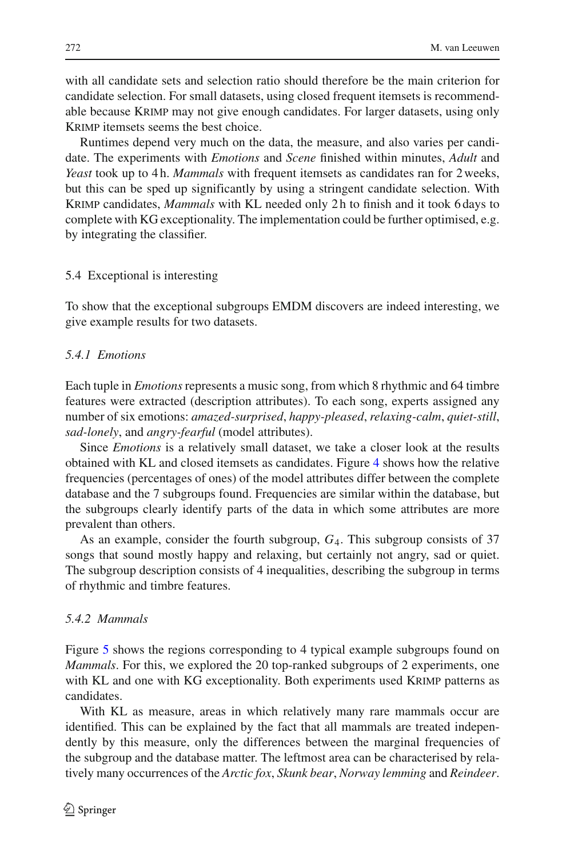with all candidate sets and selection ratio should therefore be the main criterion for candidate selection. For small datasets, using closed frequent itemsets is recommendable because Krimp may not give enough candidates. For larger datasets, using only Krimp itemsets seems the best choice.

Runtimes depend very much on the data, the measure, and also varies per candidate. The experiments with *Emotions* and *Scene* finished within minutes, *Adult* and *Yeast* took up to 4h. *Mammals* with frequent itemsets as candidates ran for 2 weeks, but this can be sped up significantly by using a stringent candidate selection. With Krimp candidates, *Mammals* with KL needed only 2 h to finish and it took 6 days to complete with KG exceptionality. The implementation could be further optimised, e.g. by integrating the classifier.

#### 5.4 Exceptional is interesting

To show that the exceptional subgroups EMDM discovers are indeed interesting, we give example results for two datasets.

## *5.4.1 Emotions*

Each tuple in *Emotions* represents a music song, from which 8 rhythmic and 64 timbre features were extracted (description attributes). To each song, experts assigned any number of six emotions: *amazed-surprised*, *happy-pleased*, *relaxing-calm*, *quiet-still*, *sad-lonely*, and *angry-fearful* (model attributes).

Since *Emotions* is a relatively small dataset, we take a closer look at the results obtained with KL and closed itemsets as candidates. Figure [4](#page-14-0) shows how the relative frequencies (percentages of ones) of the model attributes differ between the complete database and the 7 subgroups found. Frequencies are similar within the database, but the subgroups clearly identify parts of the data in which some attributes are more prevalent than others.

As an example, consider the fourth subgroup, *G*4. This subgroup consists of 37 songs that sound mostly happy and relaxing, but certainly not angry, sad or quiet. The subgroup description consists of 4 inequalities, describing the subgroup in terms of rhythmic and timbre features.

#### *5.4.2 Mammals*

Figure [5](#page-14-1) shows the regions corresponding to 4 typical example subgroups found on *Mammals*. For this, we explored the 20 top-ranked subgroups of 2 experiments, one with KL and one with KG exceptionality. Both experiments used Krimp patterns as candidates.

With KL as measure, areas in which relatively many rare mammals occur are identified. This can be explained by the fact that all mammals are treated independently by this measure, only the differences between the marginal frequencies of the subgroup and the database matter. The leftmost area can be characterised by relatively many occurrences of the *Arctic fox*, *Skunk bear*, *Norway lemming* and *Reindeer*.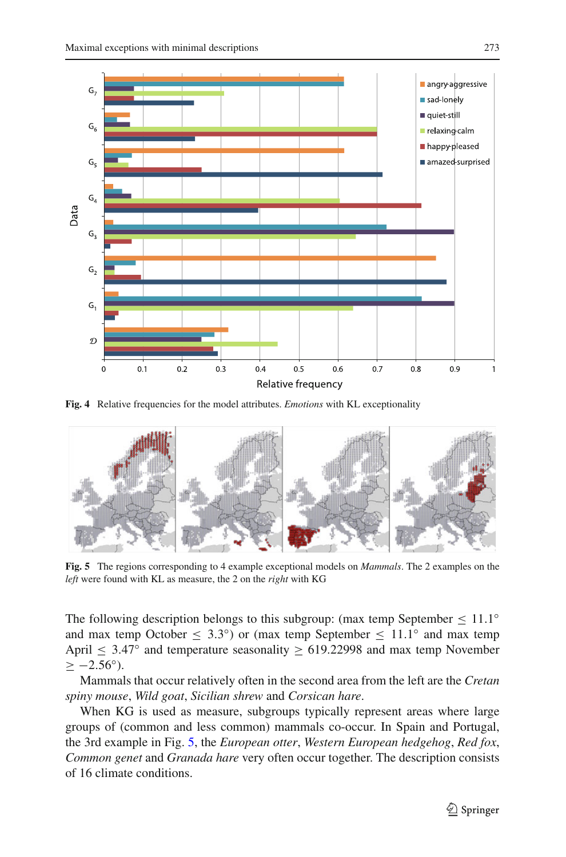

**Fig. 4** Relative frequencies for the model attributes. *Emotions* with KL exceptionality

<span id="page-14-0"></span>

<span id="page-14-1"></span>**Fig. 5** The regions corresponding to 4 example exceptional models on *Mammals*. The 2 examples on the *left* were found with KL as measure, the 2 on the *right* with KG

The following description belongs to this subgroup: (max temp September  $\leq 11.1^\circ$ and max temp October  $\leq 3.3^{\circ}$  or (max temp September  $\leq 11.1^{\circ}$  and max temp April  $\leq 3.47^{\circ}$  and temperature seasonality  $\geq 619.22998$  and max temp November  $> -2.56^{\circ}$ ).

Mammals that occur relatively often in the second area from the left are the *Cretan spiny mouse*, *Wild goat*, *Sicilian shrew* and *Corsican hare*.

When KG is used as measure, subgroups typically represent areas where large groups of (common and less common) mammals co-occur. In Spain and Portugal, the 3rd example in Fig. [5,](#page-14-1) the *European otter*, *Western European hedgehog*, *Red fox*, *Common genet* and *Granada hare* very often occur together. The description consists of 16 climate conditions.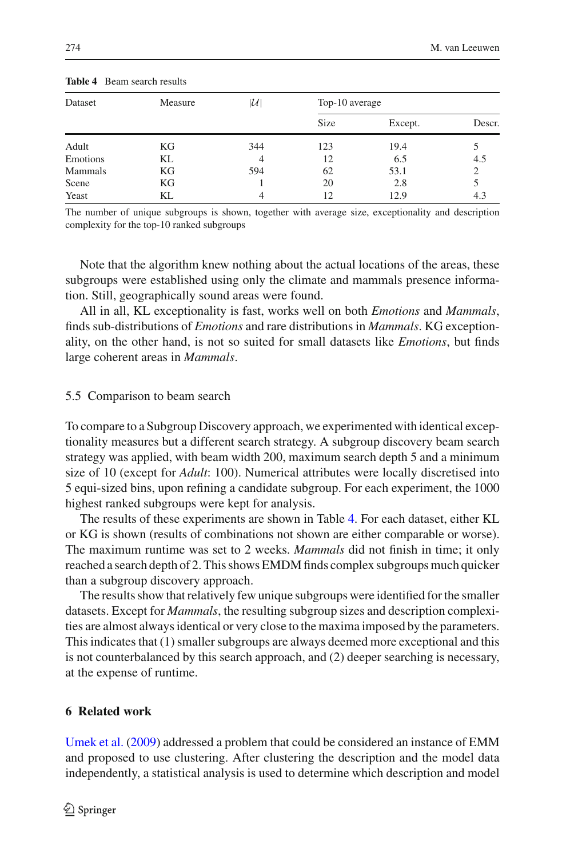|             | Top-10 average |                |  |  |  |  |  |  |  |
|-------------|----------------|----------------|--|--|--|--|--|--|--|
| <b>Size</b> | Except.        | Descr.         |  |  |  |  |  |  |  |
| 123         | 19.4           |                |  |  |  |  |  |  |  |
| 12          | 6.5            | 4.5            |  |  |  |  |  |  |  |
| 62          | 53.1           | $\overline{c}$ |  |  |  |  |  |  |  |
| 20          | 2.8            |                |  |  |  |  |  |  |  |
| 12          | 12.9           | 4.3            |  |  |  |  |  |  |  |
|             |                |                |  |  |  |  |  |  |  |

#### <span id="page-15-0"></span>**Table 4** Beam search results

The number of unique subgroups is shown, together with average size, exceptionality and description complexity for the top-10 ranked subgroups

Note that the algorithm knew nothing about the actual locations of the areas, these subgroups were established using only the climate and mammals presence information. Still, geographically sound areas were found.

All in all, KL exceptionality is fast, works well on both *Emotions* and *Mammals*, finds sub-distributions of *Emotions* and rare distributions in *Mammals*. KG exceptionality, on the other hand, is not so suited for small datasets like *Emotions*, but finds large coherent areas in *Mammals*.

#### 5.5 Comparison to beam search

To compare to a Subgroup Discovery approach, we experimented with identical exceptionality measures but a different search strategy. A subgroup discovery beam search strategy was applied, with beam width 200, maximum search depth 5 and a minimum size of 10 (except for *Adult*: 100). Numerical attributes were locally discretised into 5 equi-sized bins, upon refining a candidate subgroup. For each experiment, the 1000 highest ranked subgroups were kept for analysis.

The results of these experiments are shown in Table [4.](#page-15-0) For each dataset, either KL or KG is shown (results of combinations not shown are either comparable or worse). The maximum runtime was set to 2 weeks. *Mammals* did not finish in time; it only reached a search depth of 2. This shows EMDM finds complex subgroups much quicker than a subgroup discovery approach.

The results show that relatively few unique subgroups were identified for the smaller datasets. Except for *Mammals*, the resulting subgroup sizes and description complexities are almost always identical or very close to the maxima imposed by the parameters. This indicates that (1) smaller subgroups are always deemed more exceptional and this is not counterbalanced by this search approach, and (2) deeper searching is necessary, at the expense of runtime.

## **6 Related work**

Umek et al. [\(2009](#page-17-9)) addressed a problem that could be considered an instance of EMM and proposed to use clustering. After clustering the description and the model data independently, a statistical analysis is used to determine which description and model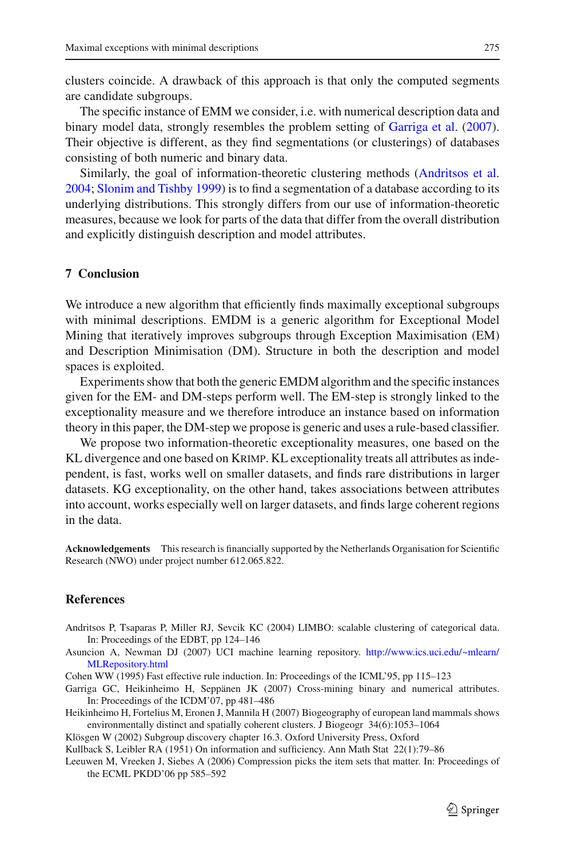clusters coincide. A drawback of this approach is that only the computed segments are candidate subgroups.

The specific instance of EMM we consider, i.e. with numerical description data and binary model data, strongly resembles the problem setting of [Garriga et al.](#page-16-6) [\(2007](#page-16-6)). Their objective is different, as they find segmentations (or clusterings) of databases consisting of both numeric and binary data.

Similarly, the goal of information-theoretic clustering methods [\(Andritsos et al.](#page-16-7) [2004;](#page-16-7) [Slonim and Tishby 1999\)](#page-17-4) is to find a segmentation of a database according to its underlying distributions. This strongly differs from our use of information-theoretic measures, because we look for parts of the data that differ from the overall distribution and explicitly distinguish description and model attributes.

## **7 Conclusion**

We introduce a new algorithm that efficiently finds maximally exceptional subgroups with minimal descriptions. EMDM is a generic algorithm for Exceptional Model Mining that iteratively improves subgroups through Exception Maximisation (EM) and Description Minimisation (DM). Structure in both the description and model spaces is exploited.

Experiments show that both the generic EMDM algorithm and the specific instances given for the EM- and DM-steps perform well. The EM-step is strongly linked to the exceptionality measure and we therefore introduce an instance based on information theory in this paper, the DM-step we propose is generic and uses a rule-based classifier.

We propose two information-theoretic exceptionality measures, one based on the KL divergence and one based on Krimp. KL exceptionality treats all attributes as independent, is fast, works well on smaller datasets, and finds rare distributions in larger datasets. KG exceptionality, on the other hand, takes associations between attributes into account, works especially well on larger datasets, and finds large coherent regions in the data.

**Acknowledgements** This research is financially supported by the Netherlands Organisation for Scientific Research (NWO) under project number 612.065.822.

#### **References**

- <span id="page-16-7"></span>Andritsos P, Tsaparas P, Miller RJ, Sevcik KC (2004) LIMBO: scalable clustering of categorical data. In: Proceedings of the EDBT, pp 124–146
- <span id="page-16-4"></span>Asuncion A, Newman DJ (2007) UCI machine learning repository. [http://www.ics.uci.edu/~mlearn/](http://www.ics.uci.edu/~mlearn/MLRepository.html) [MLRepository.html](http://www.ics.uci.edu/~mlearn/MLRepository.html)
- <span id="page-16-2"></span>Cohen WW (1995) Fast effective rule induction. In: Proceedings of the ICML'95, pp 115–123
- <span id="page-16-6"></span>Garriga GC, Heikinheimo H, Seppänen JK (2007) Cross-mining binary and numerical attributes. In: Proceedings of the ICDM'07, pp 481–486
- <span id="page-16-5"></span>Heikinheimo H, Fortelius M, Eronen J, Mannila H (2007) Biogeography of european land mammals shows environmentally distinct and spatially coherent clusters. J Biogeogr 34(6):1053–1064

<span id="page-16-0"></span>Klösgen W (2002) Subgroup discovery chapter 16.3. Oxford University Press, Oxford

<span id="page-16-1"></span>Kullback S, Leibler RA (1951) On information and sufficiency. Ann Math Stat 22(1):79–86

<span id="page-16-3"></span>Leeuwen M, Vreeken J, Siebes A (2006) Compression picks the item sets that matter. In: Proceedings of the ECML PKDD'06 pp 585–592